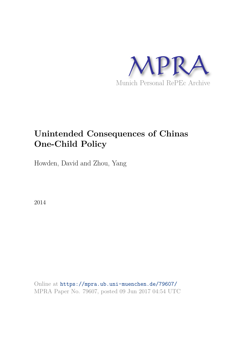

# **Unintended Consequences of Chinas One-Child Policy**

Howden, David and Zhou, Yang

2014

Online at https://mpra.ub.uni-muenchen.de/79607/ MPRA Paper No. 79607, posted 09 Jun 2017 04:54 UTC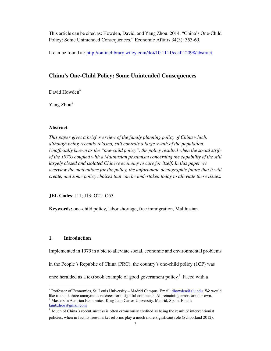This article can be cited as: Howden, David, and Yang Zhou. 2014. "China's One-Child Policy: Some Unintended Consequences." Economic Affairs 34(3): 353-69.

It can be found at: http://onlinelibrary.wiley.com/doi/10.1111/ecaf.12098/abstract

# **China's One-Child Policy: Some Unintended Consequences**

David Howden<sup>\*</sup>

Yang Zhou<sup>+</sup>

# **Abstract**

*This paper gives a brief overview of the family planning policy of China which, although being recently relaxed, still controls a large swath of the population. Unofficially known as the "one-child policy", the policy resulted when the social strife of the 1970s coupled with a Malthusian pessimism concerning the capability of the still largely closed and isolated Chinese economy to care for itself. In this paper we overview the motivations for the policy, the unfortunate demographic future that it will create, and some policy choices that can be undertaken today to alleviate these issues.* 

**JEL Codes**: J11; J13; O21; O53.

**Keywords:** one-child policy, labor shortage, free immigration, Malthusian.

# **1. Introduction**

1

Implemented in 1979 in a bid to alleviate social, economic and environmental problems

in the People´s Republic of China (PRC), the country's one-child policy (1CP) was

once heralded as a textbook example of good government policy.<sup>1</sup> Faced with a

<sup>∗</sup> Professor of Economics, St. Louis University – Madrid Campus. Email: dhowden@slu.edu. We would like to thank three anonymous referees for insightful comments. All remaining errors are our own. + Masters in Austrian Economics, King Juan Carlos University, Madrid, Spain. Email: lambzhou@gmail.com

 $<sup>1</sup>$  Much of China´s recent success is often erroneously credited as being the result of interventionist</sup> policies, when in fact its free-market reforms play a much more significant role (Schoolland 2012).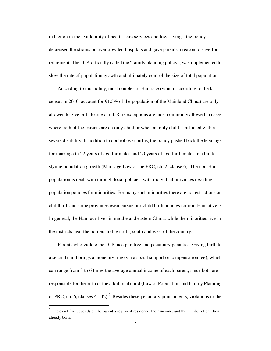reduction in the availability of health-care services and low savings, the policy decreased the strains on overcrowded hospitals and gave parents a reason to save for retirement. The 1CP, officially called the "family planning policy", was implemented to slow the rate of population growth and ultimately control the size of total population.

According to this policy, most couples of Han race (which, according to the last census in 2010, account for 91.5% of the population of the Mainland China) are only allowed to give birth to one child. Rare exceptions are most commonly allowed in cases where both of the parents are an only child or when an only child is afflicted with a severe disability. In addition to control over births, the policy pushed back the legal age for marriage to 22 years of age for males and 20 years of age for females in a bid to stymie population growth (Marriage Law of the PRC, ch. 2, clause 6). The non-Han population is dealt with through local policies, with individual provinces deciding population policies for minorities. For many such minorities there are no restrictions on childbirth and some provinces even pursue pro-child birth policies for non-Han citizens. In general, the Han race lives in middle and eastern China, while the minorities live in the districts near the borders to the north, south and west of the country.

Parents who violate the 1CP face punitive and pecuniary penalties. Giving birth to a second child brings a monetary fine (via a social support or compensation fee), which can range from 3 to 6 times the average annual income of each parent, since both are responsible for the birth of the additional child (Law of Population and Family Planning of PRC, ch. 6, clauses  $41-42$ ).<sup>2</sup> Besides these pecuniary punishments, violations to the

.

 $2<sup>2</sup>$  The exact fine depends on the parent's region of residence, their income, and the number of children already born.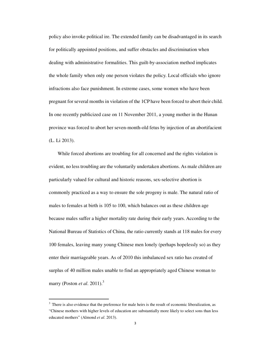policy also invoke political ire. The extended family can be disadvantaged in its search for politically appointed positions, and suffer obstacles and discrimination when dealing with administrative formalities. This guilt-by-association method implicates the whole family when only one person violates the policy. Local officials who ignore infractions also face punishment. In extreme cases, some women who have been pregnant for several months in violation of the 1CP have been forced to abort their child. In one recently publicized case on 11 November 2011, a young mother in the Hunan province was forced to abort her seven-month-old fetus by injection of an abortifacient (L. Li 2013).

While forced abortions are troubling for all concerned and the rights violation is evident, no less troubling are the voluntarily undertaken abortions. As male children are particularly valued for cultural and historic reasons, sex-selective abortion is commonly practiced as a way to ensure the sole progeny is male. The natural ratio of males to females at birth is 105 to 100, which balances out as these children age because males suffer a higher mortality rate during their early years. According to the National Bureau of Statistics of China, the ratio currently stands at 118 males for every 100 females, leaving many young Chinese men lonely (perhaps hopelessly so) as they enter their marriageable years. As of 2010 this imbalanced sex ratio has created of surplus of 40 million males unable to find an appropriately aged Chinese woman to marry (Poston *et al*. 2011).<sup>3</sup>

.

 $3$  There is also evidence that the preference for male heirs is the result of economic liberalization, as "Chinese mothers with higher levels of education are substantially more likely to select sons than less educated mothers" (Almond *et al*. 2013).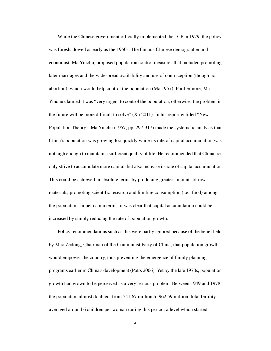While the Chinese government officially implemented the 1CP in 1979, the policy was foreshadowed as early as the 1950s. The famous Chinese demographer and economist, Ma Yinchu, proposed population control measures that included promoting later marriages and the widespread availability and use of contraception (though not abortion), which would help control the population (Ma 1957). Furthermore, Ma Yinchu claimed it was "very urgent to control the population, otherwise, the problem in the future will be more difficult to solve" (Xu 2011). In his report entitled "New Population Theory", Ma Yinchu (1957, pp. 297-317) made the systematic analysis that China's population was growing too quickly while its rate of capital accumulation was not high enough to maintain a sufficient quality of life. He recommended that China not only strive to accumulate more capital, but also increase its rate of capital accumulation. This could be achieved in absolute terms by producing greater amounts of raw materials, promoting scientific research and limiting consumption (i.e., food) among the population. In per capita terms, it was clear that capital accumulation could be increased by simply reducing the rate of population growth.

Policy recommendations such as this were partly ignored because of the belief held by Mao Zedong, Chairman of the Communist Party of China, that population growth would empower the country, thus preventing the emergence of family planning programs earlier in China's development (Potts 2006). Yet by the late 1970s, population growth had grown to be perceived as a very serious problem. Between 1949 and 1978 the population almost doubled, from 541.67 million to 962.59 million; total fertility averaged around 6 children per woman during this period, a level which started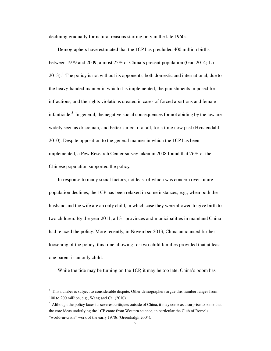declining gradually for natural reasons starting only in the late 1960s.

Demographers have estimated that the 1CP has precluded 400 million births between 1979 and 2009, almost 25% of China´s present population (Guo 2014; Lu 2013).<sup>4</sup> The policy is not without its opponents, both domestic and international, due to the heavy-handed manner in which it is implemented, the punishments imposed for infractions, and the rights violations created in cases of forced abortions and female infanticide.<sup>5</sup> In general, the negative social consequences for not abiding by the law are widely seen as draconian, and better suited, if at all, for a time now past (Hvistendahl 2010). Despite opposition to the general manner in which the 1CP has been implemented, a Pew Research Center survey taken in 2008 found that 76% of the Chinese population supported the policy.

In response to many social factors, not least of which was concern over future population declines, the 1CP has been relaxed in some instances, e.g., when both the husband and the wife are an only child, in which case they were allowed to give birth to two children. By the year 2011, all 31 provinces and municipalities in mainland China had relaxed the policy. More recently, in November 2013, China announced further loosening of the policy, this time allowing for two-child families provided that at least one parent is an only child.

While the tide may be turning on the 1CP, it may be too late. China's boom has

1

<sup>&</sup>lt;sup>4</sup> This number is subject to considerable dispute. Other demographers argue this number ranges from 100 to 200 million, e.g., Wang and Cai (2010).

 $<sup>5</sup>$  Although the policy faces its severest critiques outside of China, it may come as a surprise to some that</sup> the core ideas underlying the 1CP came from Western science, in particular the Club of Rome's "world-in-crisis" work of the early 1970s (Greenhalgh 2004).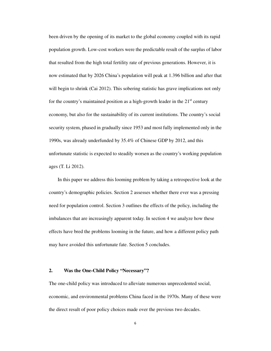been driven by the opening of its market to the global economy coupled with its rapid population growth. Low-cost workers were the predictable result of the surplus of labor that resulted from the high total fertility rate of previous generations. However, it is now estimated that by 2026 China's population will peak at 1.396 billion and after that will begin to shrink (Cai 2012). This sobering statistic has grave implications not only for the country's maintained position as a high-growth leader in the  $21<sup>st</sup>$  century economy, but also for the sustainability of its current institutions. The country's social security system, phased in gradually since 1953 and most fully implemented only in the 1990s, was already underfunded by 35.4% of Chinese GDP by 2012, and this unfortunate statistic is expected to steadily worsen as the country's working population ages (T. Li 2012).

In this paper we address this looming problem by taking a retrospective look at the country's demographic policies. Section 2 assesses whether there ever was a pressing need for population control. Section 3 outlines the effects of the policy, including the imbalances that are increasingly apparent today. In section 4 we analyze how these effects have bred the problems looming in the future, and how a different policy path may have avoided this unfortunate fate. Section 5 concludes.

# **2. Was the One-Child Policy "Necessary"?**

The one-child policy was introduced to alleviate numerous unprecedented social, economic, and environmental problems China faced in the 1970s. Many of these were the direct result of poor policy choices made over the previous two decades.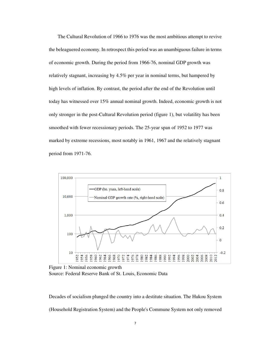The Cultural Revolution of 1966 to 1976 was the most ambitious attempt to revive the beleaguered economy. In retrospect this period was an unambiguous failure in terms of economic growth. During the period from 1966-76, nominal GDP growth was relatively stagnant, increasing by 4.5% per year in nominal terms, but hampered by high levels of inflation. By contrast, the period after the end of the Revolution until today has witnessed over 15% annual nominal growth. Indeed, economic growth is not only stronger in the post-Cultural Revolution period (figure 1), but volatility has been smoothed with fewer recessionary periods. The 25-year span of 1952 to 1977 was marked by extreme recessions, most notably in 1961, 1967 and the relatively stagnant period from 1971-76.



Figure 1: Nominal economic growth Source: Federal Reserve Bank of St. Louis, Economic Data

Decades of socialism plunged the country into a destitute situation. The Hukou System (Household Registration System) and the People's Commune System not only removed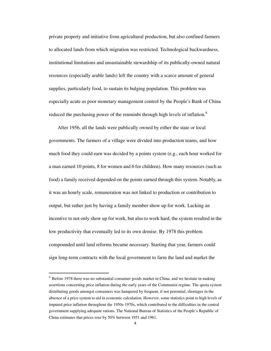private property and initiative from agricultural production, but also confined farmers to allocated lands from which migration was restricted. Technological backwardness, institutional limitations and unsustainable stewardship of its publically-owned natural resources (especially arable lands) left the country with a scarce amount of general supplies, particularly food, to sustain its bulging population. This problem was especially acute as poor monetary management control by the People's Bank of China reduced the purchasing power of the renminbi through high levels of inflation.<sup>6</sup>

After 1956, all the lands were publically owned by either the state or local governments. The farmers of a village were divided into production teams, and how much food they could earn was decided by a points system (e.g., each hour worked for a man earned 10 points, 8 for women and 6 for children). How many resources (such as food) a family received depended on the points earned through this system. Notably, as it was an hourly scale, remuneration was not linked to production or contribution to output, but rather just by having a family member show up for work. Lacking an incentive to not only show up for work, but also to work hard, the system resulted in the low productivity that eventually led to its own demise. By 1978 this problem compounded until land reforms became necessary. Starting that year, farmers could sign long-term contracts with the local government to farm the land and market the

1

<sup>&</sup>lt;sup>6</sup> Before 1978 there was no substantial consumer goods market in China, and we hesitate in making assertions concerning price inflation during the early years of the Communist regime. The quota system distributing goods amongst consumers was hampered by frequent, if not perennial, shortages in the absence of a price system to aid in economic calculation. However, some statistics point to high levels of imputed price inflation throughout the 1950s-1970s, which contributed to the difficulties in the central government supplying adequate rations. The National Bureau of Statistics of the People's Republic of China estimates that prices rose by 50% between 1951 and 1961.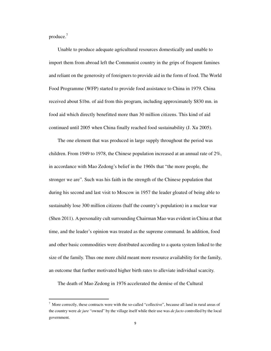produce. $<sup>7</sup>$ </sup>

.

Unable to produce adequate agricultural resources domestically and unable to import them from abroad left the Communist country in the grips of frequent famines and reliant on the generosity of foreigners to provide aid in the form of food. The World Food Programme (WFP) started to provide food assistance to China in 1979. China received about \$1bn. of aid from this program, including approximately \$830 mn. in food aid which directly benefitted more than 30 million citizens. This kind of aid continued until 2005 when China finally reached food sustainability (J. Xu 2005).

The one element that was produced in large supply throughout the period was children. From 1949 to 1978, the Chinese population increased at an annual rate of 2%, in accordance with Mao Zedong's belief in the 1960s that "the more people, the stronger we are". Such was his faith in the strength of the Chinese population that during his second and last visit to Moscow in 1957 the leader gloated of being able to sustainably lose 300 million citizens (half the country's population) in a nuclear war (Shen 2011). A personality cult surrounding Chairman Mao was evident in China at that time, and the leader's opinion was treated as the supreme command. In addition, food and other basic commodities were distributed according to a quota system linked to the size of the family. Thus one more child meant more resource availability for the family, an outcome that further motivated higher birth rates to alleviate individual scarcity.

The death of Mao Zedong in 1976 accelerated the demise of the Cultural

 $<sup>7</sup>$  More correctly, these contracts were with the so-called "collective", because all land in rural areas of</sup> the country were *de jure* "owned" by the village itself while their use was *de facto* controlled by the local government.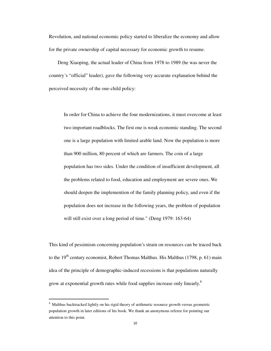Revolution, and national economic policy started to liberalize the economy and allow for the private ownership of capital necessary for economic growth to resume.

Deng Xiaoping, the actual leader of China from 1978 to 1989 (he was never the country´s "official" leader), gave the following very accurate explanation behind the perceived necessity of the one-child policy:

In order for China to achieve the four modernizations, it must overcome at least two important roadblocks. The first one is weak economic standing. The second one is a large population with limited arable land. Now the population is more than 900 million, 80 percent of which are farmers. The coin of a large population has two sides. Under the condition of insufficient development, all the problems related to food, education and employment are severe ones. We should deepen the implemention of the family planning policy, and even if the population does not increase in the following years, the problem of population will still exist over a long period of time." (Deng 1979: 163-64)

This kind of pessimism concerning population's strain on resources can be traced back to the  $19<sup>th</sup>$  century economist, Robert Thomas Malthus. His Malthus (1798, p. 61) main idea of the principle of demographic-induced recessions is that populations naturally grow at exponential growth rates while food supplies increase only linearly.<sup>8</sup>

.

<sup>&</sup>lt;sup>8</sup> Malthus backtracked lightly on his rigid theory of arithmetic resource growth versus geometric population growth in later editions of his book. We thank an anonymous referee for pointing our attention to this point.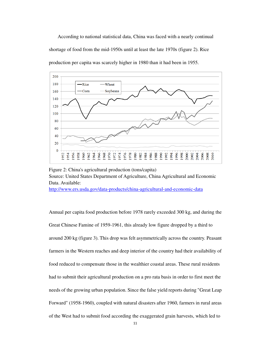According to national statistical data, China was faced with a nearly continual shortage of food from the mid-1950s until at least the late 1970s (figure 2). Rice production per capita was scarcely higher in 1980 than it had been in 1955.



Figure 2: China's agricultural production (tons/capita) Source: United States Department of Agriculture, China Agricultural and Economic Data. Available: http://www.ers.usda.gov/data-products/china-agricultural-and-economic-data

Annual per capita food production before 1978 rarely exceeded 300 kg, and during the Great Chinese Famine of 1959-1961, this already low figure dropped by a third to around 200 kg (figure 3). This drop was felt asymmetrically across the country. Peasant farmers in the Western reaches and deep interior of the country had their availability of food reduced to compensate those in the wealthier coastal areas. These rural residents had to submit their agricultural production on a pro rata basis in order to first meet the needs of the growing urban population. Since the false yield reports during "Great Leap Forward" (1958-1960), coupled with natural disasters after 1960, farmers in rural areas of the West had to submit food according the exaggerated grain harvests, which led to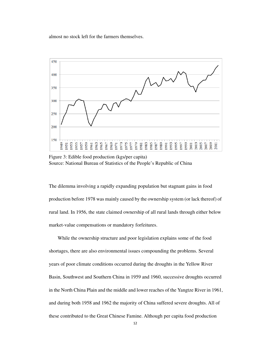almost no stock left for the farmers themselves.



Figure 3: Edible food production (kgs/per capita) Source: National Bureau of Statistics of the People's Republic of China

The dilemma involving a rapidly expanding population but stagnant gains in food production before 1978 was mainly caused by the ownership system (or lack thereof) of rural land. In 1956, the state claimed ownership of all rural lands through either below market-value compensations or mandatory forfeitures.

While the ownership structure and poor legislation explains some of the food shortages, there are also environmental issues compounding the problems. Several years of poor climate conditions occurred during the droughts in the Yellow River Basin, Southwest and Southern China in 1959 and 1960, successive droughts occurred in the North China Plain and the middle and lower reaches of the Yangtze River in 1961, and during both 1958 and 1962 the majority of China suffered severe droughts. All of these contributed to the Great Chinese Famine. Although per capita food production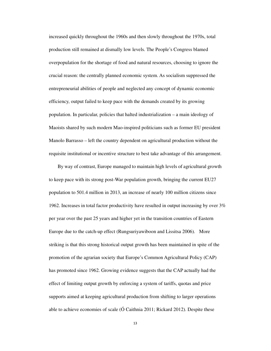increased quickly throughout the 1960s and then slowly throughout the 1970s, total production still remained at dismally low levels. The People's Congress blamed overpopulation for the shortage of food and natural resources, choosing to ignore the crucial reason: the centrally planned economic system. As socialism suppressed the entrepreneurial abilities of people and neglected any concept of dynamic economic efficiency, output failed to keep pace with the demands created by its growing population. In particular, policies that halted industrialization – a main ideology of Maoists shared by such modern Mao-inspired politicians such as former EU president Manolo Barrasso – left the country dependent on agricultural production without the requisite institutional or incentive structure to best take advantage of this arrangement.

By way of contrast, Europe managed to maintain high levels of agricultural growth to keep pace with its strong post-War population growth, bringing the current EU27 population to 501.4 million in 2013, an increase of nearly 100 million citizens since 1962. Increases in total factor productivity have resulted in output increasing by over 3% per year over the past 25 years and higher yet in the transition countries of Eastern Europe due to the catch-up effect (Rungsuriyawiboon and Lissitsa 2006). More striking is that this strong historical output growth has been maintained in spite of the promotion of the agrarian society that Europe's Common Agricultural Policy (CAP) has promoted since 1962. Growing evidence suggests that the CAP actually had the effect of limiting output growth by enforcing a system of tariffs, quotas and price supports aimed at keeping agricultural production from shifting to larger operations able to achieve economies of scale (Ó Caithnia 2011; Rickard 2012). Despite these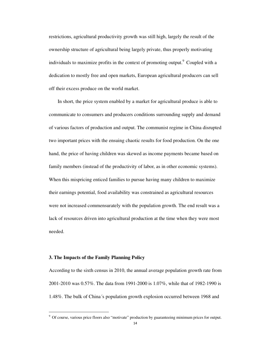restrictions, agricultural productivity growth was still high, largely the result of the ownership structure of agricultural being largely private, thus properly motivating individuals to maximize profits in the context of promoting output.<sup>9</sup> Coupled with a dedication to mostly free and open markets, European agricultural producers can sell off their excess produce on the world market.

In short, the price system enabled by a market for agricultural produce is able to communicate to consumers and producers conditions surrounding supply and demand of various factors of production and output. The communist regime in China disrupted two important prices with the ensuing chaotic results for food production. On the one hand, the price of having children was skewed as income payments became based on family members (instead of the productivity of labor, as in other economic systems). When this mispricing enticed families to pursue having many children to maximize their earnings potential, food availability was constrained as agricultural resources were not increased commensurately with the population growth. The end result was a lack of resources driven into agricultural production at the time when they were most needed.

# **3. The Impacts of the Family Planning Policy**

.

According to the sixth census in 2010, the annual average population growth rate from 2001-2010 was 0.57%. The data from 1991-2000 is 1.07%, while that of 1982-1990 is 1.48%. The bulk of China´s population growth explosion occurred between 1968 and

<sup>&</sup>lt;sup>9</sup> Of course, various price floors also "motivate" production by guaranteeing minimum prices for output.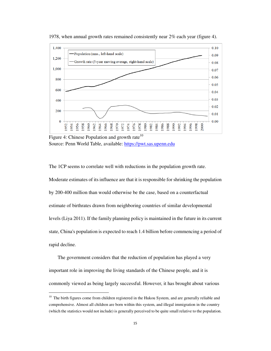

1978, when annual growth rates remained consistently near 2% each year (figure 4).

Figure 4: Chinese Population and growth rate $10$ Source: Penn World Table, available: https://pwt.sas.upenn.edu

The 1CP seems to correlate well with reductions in the population growth rate. Moderate estimates of its influence are that it is responsible for shrinking the population by 200-400 million than would otherwise be the case, based on a counterfactual estimate of birthrates drawn from neighboring countries of similar developmental levels (Liya 2011). If the family planning policy is maintained in the future in its current state, China's population is expected to reach 1.4 billion before commencing a period of rapid decline.

The government considers that the reduction of population has played a very important role in improving the living standards of the Chinese people, and it is commonly viewed as being largely successful. However, it has brought about various

.

<sup>&</sup>lt;sup>10</sup> The birth figures come from children registered in the Hukou System, and are generally reliable and comprehensive. Almost all children are born within this system, and illegal immigration in the country (which the statistics would not include) is generally perceived to be quite small relative to the population.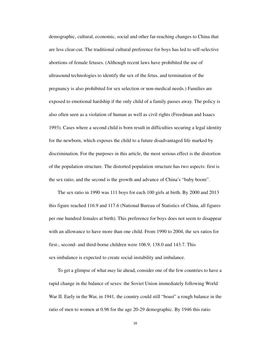demographic, cultural, economic, social and other far-reaching changes to China that are less clear-cut. The traditional cultural preference for boys has led to self-selective abortions of female fetuses. (Although recent laws have prohibited the use of ultrasound technologies to identify the sex of the fetus, and termination of the pregnancy is also prohibited for sex selection or non-medical needs.) Families are exposed to emotional hardship if the only child of a family passes away. The policy is also often seen as a violation of human as well as civil rights (Freedman and Isaacs 1993). Cases where a second child is born result in difficulties securing a legal identity for the newborn, which exposes the child to a future disadvantaged life marked by discrimination. For the purposes in this article, the most serious effect is the distortion of the population structure. The distorted population structure has two aspects: first is the sex ratio, and the second is the growth and advance of China's "baby boom".

The sex ratio in 1990 was 111 boys for each 100 girls at birth. By 2000 and 2013 this figure reached 116.9 and 117.6 (National Bureau of Statistics of China, all figures per one hundred females at birth). This preference for boys does not seem to disappear with an allowance to have more than one child. From 1990 to 2004, the sex ratios for first-, second- and third-borne children were 106.9, 138.0 and 143.7. This sex-imbalance is expected to create social instability and imbalance.

To get a glimpse of what *may* lie ahead, consider one of the few countries to have a rapid change in the balance of sexes: the Soviet Union immediately following World War II. Early in the War, in 1941, the country could still "boast" a rough balance in the ratio of men to women at 0.96 for the age 20-29 demographic. By 1946 this ratio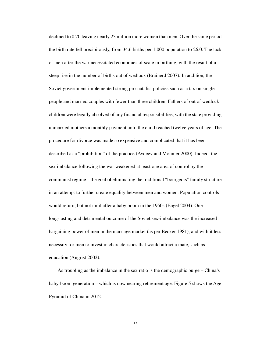declined to 0.70 leaving nearly 23 million more women than men. Over the same period the birth rate fell precipitously, from 34.6 births per 1,000 population to 26.0. The lack of men after the war necessitated economies of scale in birthing, with the result of a steep rise in the number of births out of wedlock (Brainerd 2007). In addition, the Soviet government implemented strong pro-natalist policies such as a tax on single people and married couples with fewer than three children. Fathers of out of wedlock children were legally absolved of any financial responsibilities, with the state providing unmarried mothers a monthly payment until the child reached twelve years of age. The procedure for divorce was made so expensive and complicated that it has been described as a "prohibition" of the practice (Avdeev and Monnier 2000). Indeed, the sex imbalance following the war weakened at least one area of control by the communist regime – the goal of eliminating the traditional "bourgeois" family structure in an attempt to further create equality between men and women. Population controls would return, but not until after a baby boom in the 1950s (Engel 2004). One long-lasting and detrimental outcome of the Soviet sex-imbalance was the increased bargaining power of men in the marriage market (as per Becker 1981), and with it less necessity for men to invest in characteristics that would attract a mate, such as education (Angrist 2002).

As troubling as the imbalance in the sex ratio is the demographic bulge – China's baby-boom generation – which is now nearing retirement age. Figure 5 shows the Age Pyramid of China in 2012.

17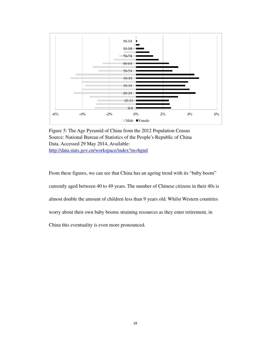

Figure 5: The Age Pyramid of China from the 2012 Population Census Source: National Bureau of Statistics of the People's Republic of China Data. Accessed 29 May 2014, Available: http://data.stats.gov.cn/workspace/index?m=hgnd

From these figures, we can see that China has an ageing trend with its "baby boom"

currently aged between 40 to 49 years. The number of Chinese citizens in their 40s is

almost double the amount of children less than 9 years old. Whilst Western countries

worry about their own baby booms straining resources as they enter retirement, in

China this eventuality is even more pronounced.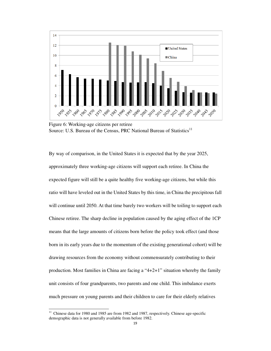

Figure 6: Working-age citizens per retiree Source: U.S. Bureau of the Census, PRC National Bureau of Statistics<sup>11</sup>

By way of comparison, in the United States it is expected that by the year 2025, approximately three working-age citizens will support each retiree. In China the expected figure will still be a quite healthy five working-age citizens, but while this ratio will have leveled out in the United States by this time, in China the precipitous fall will continue until 2050. At that time barely two workers will be toiling to support each Chinese retiree. The sharp decline in population caused by the aging effect of the 1CP means that the large amounts of citizens born before the policy took effect (and those born in its early years due to the momentum of the existing generational cohort) will be drawing resources from the economy without commensurately contributing to their production. Most families in China are facing a "4+2+1" situation whereby the family unit consists of four grandparents, two parents and one child. This imbalance exerts much pressure on young parents and their children to care for their elderly relatives

1

<sup>&</sup>lt;sup>11</sup> Chinese data for 1980 and 1985 are from 1982 and 1987, respectively. Chinese age-specific demographic data is not generally available from before 1982.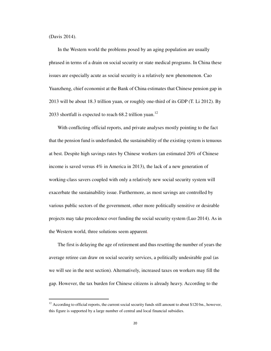(Davis 2014).

.

In the Western world the problems posed by an aging population are usually phrased in terms of a drain on social security or state medical programs. In China these issues are especially acute as social security is a relatively new phenomenon. Cao Yuanzheng, chief economist at the Bank of China estimates that Chinese pension gap in 2013 will be about 18.3 trillion yuan, or roughly one-third of its GDP (T. Li 2012). By 2033 shortfall is expected to reach  $68.2$  trillion yuan.<sup>12</sup>

With conflicting official reports, and private analyses mostly pointing to the fact that the pension fund is underfunded, the sustainability of the existing system is tenuous at best. Despite high savings rates by Chinese workers (an estimated 20% of Chinese income is saved versus 4% in America in 2013), the lack of a new generation of working-class savers coupled with only a relatively new social security system will exacerbate the sustainability issue. Furthermore, as most savings are controlled by various public sectors of the government, other more politically sensitive or desirable projects may take precedence over funding the social security system (Luo 2014). As in the Western world, three solutions seem apparent.

The first is delaying the age of retirement and thus resetting the number of years the average retiree can draw on social security services, a politically undesirable goal (as we will see in the next section). Alternatively, increased taxes on workers may fill the gap. However, the tax burden for Chinese citizens is already heavy. According to the

 $12$  According to official reports, the current social security funds still amount to about \$120 bn., however, this figure is supported by a large number of central and local financial subsidies.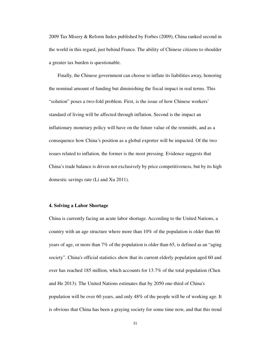2009 Tax Misery & Reform Index published by Forbes (2009), China ranked second in the world in this regard, just behind France. The ability of Chinese citizens to shoulder a greater tax burden is questionable.

Finally, the Chinese government can choose to inflate its liabilities away, honoring the nominal amount of funding but diminishing the fiscal impact in real terms. This "solution" poses a two-fold problem. First, is the issue of how Chinese workers' standard of living will be affected through inflation. Second is the impact an inflationary monetary policy will have on the future value of the renminbi, and as a consequence how China's position as a global exporter will be impacted. Of the two issues related to inflation, the former is the most pressing. Evidence suggests that China's trade balance is driven not exclusively by price competitiveness, but by its high domestic savings rate (Li and Xu 2011).

# **4. Solving a Labor Shortage**

China is currently facing an acute labor shortage. According to the United Nations, a country with an age structure where more than 10% of the population is older than 60 years of age, or more than 7% of the population is older than 65, is defined as an "aging society". China's official statistics show that its current elderly population aged 60 and over has reached 185 million, which accounts for 13.7% of the total population (Chen and He 2013). The United Nations estimates that by 2050 one-third of China's population will be over 60 years, and only 48% of the people will be of working age. It is obvious that China has been a graying society for some time now, and that this trend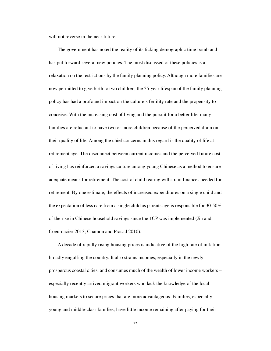will not reverse in the near future.

The government has noted the reality of its ticking demographic time bomb and has put forward several new policies. The most discussed of these policies is a relaxation on the restrictions by the family planning policy. Although more families are now permitted to give birth to two children, the 35-year lifespan of the family planning policy has had a profound impact on the culture's fertility rate and the propensity to conceive. With the increasing cost of living and the pursuit for a better life, many families are reluctant to have two or more children because of the perceived drain on their quality of life. Among the chief concerns in this regard is the quality of life at retirement age. The disconnect between current incomes and the perceived future cost of living has reinforced a savings culture among young Chinese as a method to ensure adequate means for retirement. The cost of child rearing will strain finances needed for retirement. By one estimate, the effects of increased expenditures on a single child and the expectation of less care from a single child as parents age is responsible for  $30-50\%$ of the rise in Chinese household savings since the 1CP was implemented (Jin and Coeurdacier 2013; Chamon and Prasad 2010).

A decade of rapidly rising housing prices is indicative of the high rate of inflation broadly engulfing the country. It also strains incomes, especially in the newly prosperous coastal cities, and consumes much of the wealth of lower income workers – especially recently arrived migrant workers who lack the knowledge of the local housing markets to secure prices that are more advantageous. Families, especially young and middle-class families, have little income remaining after paying for their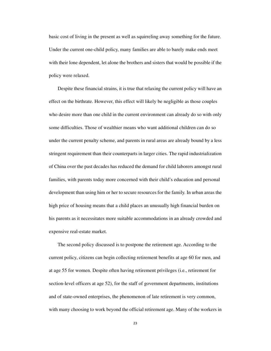basic cost of living in the present as well as squirreling away something for the future. Under the current one-child policy, many families are able to barely make ends meet with their lone dependent, let alone the brothers and sisters that would be possible if the policy were relaxed.

Despite these financial strains, it is true that relaxing the current policy will have an effect on the birthrate. However, this effect will likely be negligible as those couples who desire more than one child in the current environment can already do so with only some difficulties. Those of wealthier means who want additional children can do so under the current penalty scheme, and parents in rural areas are already bound by a less stringent requirement than their counterparts in larger cities. The rapid industrialization of China over the past decades has reduced the demand for child laborers amongst rural families, with parents today more concerned with their child's education and personal development than using him or her to secure resources for the family. In urban areas the high price of housing means that a child places an unusually high financial burden on his parents as it necessitates more suitable accommodations in an already crowded and expensive real-estate market.

The second policy discussed is to postpone the retirement age. According to the current policy, citizens can begin collecting retirement benefits at age 60 for men, and at age 55 for women. Despite often having retirement privileges (i.e., retirement for section-level officers at age 52), for the staff of government departments, institutions and of state-owned enterprises, the phenomenon of late retirement is very common, with many choosing to work beyond the official retirement age. Many of the workers in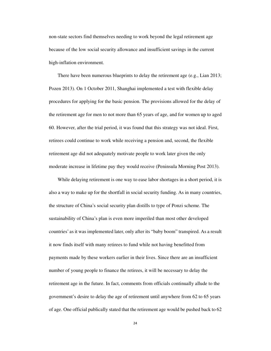non-state sectors find themselves needing to work beyond the legal retirement age because of the low social security allowance and insufficient savings in the current high-inflation environment.

There have been numerous blueprints to delay the retirement age (e.g., Lian 2013; Pozen 2013). On 1 October 2011, Shanghai implemented a test with flexible delay procedures for applying for the basic pension. The provisions allowed for the delay of the retirement age for men to not more than 65 years of age, and for women up to aged 60. However, after the trial period, it was found that this strategy was not ideal. First, retirees could continue to work while receiving a pension and, second, the flexible retirement age did not adequately motivate people to work later given the only moderate increase in lifetime pay they would receive (Peninsula Morning Post 2013).

While delaying retirement is one way to ease labor shortages in a short period, it is also a way to make up for the shortfall in social security funding. As in many countries, the structure of China's social security plan distills to type of Ponzi scheme. The sustainability of China's plan is even more imperiled than most other developed countries' as it was implemented later, only after its "baby boom" transpired. As a result it now finds itself with many retirees to fund while not having benefitted from payments made by these workers earlier in their lives. Since there are an insufficient number of young people to finance the retirees, it will be necessary to delay the retirement age in the future. In fact, comments from officials continually allude to the government's desire to delay the age of retirement until anywhere from 62 to 65 years of age. One official publically stated that the retirement age would be pushed back to 62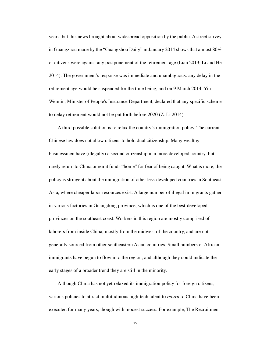years, but this news brought about widespread opposition by the public. A street survey in Guangzhou made by the "Guangzhou Daily" in January 2014 shows that almost 80% of citizens were against any postponement of the retirement age (Lian 2013; Li and He 2014). The government's response was immediate and unambiguous: any delay in the retirement age would be suspended for the time being, and on 9 March 2014, Yin Weimin, Minister of People's Insurance Department, declared that any specific scheme to delay retirement would not be put forth before 2020 (Z. Li 2014).

A third possible solution is to relax the country's immigration policy. The current Chinese law does not allow citizens to hold dual citizenship. Many wealthy businessmen have (illegally) a second citizenship in a more developed country, but rarely return to China or remit funds "home" for fear of being caught. What is more, the policy is stringent about the immigration of other less-developed countries in Southeast Asia, where cheaper labor resources exist. A large number of illegal immigrants gather in various factories in Guangdong province, which is one of the best-developed provinces on the southeast coast. Workers in this region are mostly comprised of laborers from inside China, mostly from the midwest of the country, and are not generally sourced from other southeastern Asian countries. Small numbers of African immigrants have begun to flow into the region, and although they could indicate the early stages of a broader trend they are still in the minority.

Although China has not yet relaxed its immigration policy for foreign citizens, various policies to attract multitudinous high-tech talent to *return* to China have been executed for many years, though with modest success. For example, The Recruitment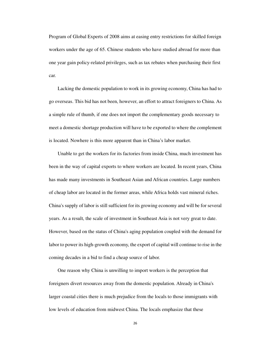Program of Global Experts of 2008 aims at easing entry restrictions for skilled foreign workers under the age of 65. Chinese students who have studied abroad for more than one year gain policy-related privileges, such as tax rebates when purchasing their first car.

Lacking the domestic population to work in its growing economy, China has had to go overseas. This bid has not been, however, an effort to attract foreigners to China. As a simple rule of thumb, if one does not import the complementary goods necessary to meet a domestic shortage production will have to be exported to where the complement is located. Nowhere is this more apparent than in China's labor market.

Unable to get the workers for its factories from inside China, much investment has been in the way of capital exports to where workers are located. In recent years, China has made many investments in Southeast Asian and African countries. Large numbers of cheap labor are located in the former areas, while Africa holds vast mineral riches. China's supply of labor is still sufficient for its growing economy and will be for several years. As a result, the scale of investment in Southeast Asia is not very great to date. However, based on the status of China's aging population coupled with the demand for labor to power its high-growth economy, the export of capital will continue to rise in the coming decades in a bid to find a cheap source of labor.

One reason why China is unwilling to import workers is the perception that foreigners divert resources away from the domestic population. Already in China's larger coastal cities there is much prejudice from the locals to those immigrants with low levels of education from midwest China. The locals emphasize that these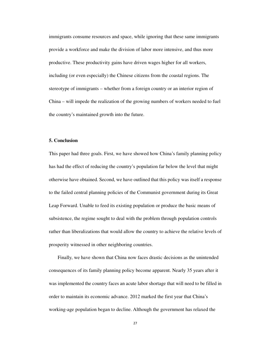immigrants consume resources and space, while ignoring that these same immigrants provide a workforce and make the division of labor more intensive, and thus more productive. These productivity gains have driven wages higher for all workers, including (or even especially) the Chinese citizens from the coastal regions. The stereotype of immigrants – whether from a foreign country or an interior region of China – will impede the realization of the growing numbers of workers needed to fuel the country's maintained growth into the future.

### **5. Conclusion**

This paper had three goals. First, we have showed how China's family planning policy has had the effect of reducing the country's population far below the level that might otherwise have obtained. Second, we have outlined that this policy was itself a response to the failed central planning policies of the Communist government during its Great Leap Forward. Unable to feed its existing population or produce the basic means of subsistence, the regime sought to deal with the problem through population controls rather than liberalizations that would allow the country to achieve the relative levels of prosperity witnessed in other neighboring countries.

Finally, we have shown that China now faces drastic decisions as the unintended consequences of its family planning policy become apparent. Nearly 35 years after it was implemented the country faces an acute labor shortage that will need to be filled in order to maintain its economic advance. 2012 marked the first year that China's working-age population began to decline. Although the government has relaxed the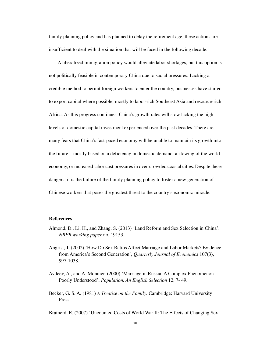family planning policy and has planned to delay the retirement age, these actions are insufficient to deal with the situation that will be faced in the following decade.

A liberalized immigration policy would alleviate labor shortages, but this option is not politically feasible in contemporary China due to social pressures. Lacking a credible method to permit foreign workers to enter the country, businesses have started to export capital where possible, mostly to labor-rich Southeast Asia and resource-rich Africa. As this progress continues, China's growth rates will slow lacking the high levels of domestic capital investment experienced over the past decades. There are many fears that China's fast-paced economy will be unable to maintain its growth into the future – mostly based on a deficiency in domestic demand, a slowing of the world economy, or increased labor cost pressures in over-crowded coastal cities. Despite these dangers, it is the failure of the family planning policy to foster a new generation of Chinese workers that poses the greatest threat to the country's economic miracle.

### **References**

- Almond, D., Li, H., and Zhang, S. (2013) 'Land Reform and Sex Selection in China', *NBER working paper* no. 19153.
- Angrist, J. (2002) 'How Do Sex Ratios Affect Marriage and Labor Markets? Evidence from America's Second Generation', *Quarterly Journal of Economics* 107(3), 997-1038.
- Avdeev, A., and A. Monnier. (2000) 'Marriage in Russia: A Complex Phenomenon Poorly Understood', *Population, An English Selection* 12, 7- 49.
- Becker, G. S. A. (1981) *A Treatise on the Family*. Cambridge: Harvard University Press.

Brainerd, E. (2007) 'Uncounted Costs of World War II: The Effects of Changing Sex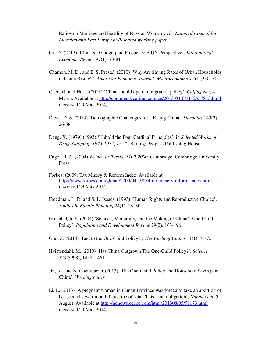Ratios on Marriage and Fertility of Russian Women', *The National Council for Eurasian and East European Research working paper*.

- Cai, Y. (2012) 'China's Demographic Prospects: A UN Perspective', *International Economic Review* 97(1), 73-81.
- Chamon, M. D., and E. S. Presad. (2010) 'Why Are Saving Rates of Urban Households in China Rising?', *American Economic Journal: Macroeconomics* 2(1), 93-130.
- Chen, G. and He, J. (2013) 'China should open immigration policy', *Caijing Net*, 4 March. Available at http://comments.caijing.com.cn/2013-03-04/112557813.html (accessed 29 May 2014).
- Davis, D. S. (2014) 'Demographic Challenges for a Rising China', *Daedalus* 143(2), 26-38.
- Deng, X. [1979] (1993) 'Uphold the Four Cardinal Principles', in *Selected Works of Deng Xiaoping: 1975-1982*, vol. 2. Beijing: People's Publishing House.
- Engel, B. A. (2004) *Women in Russia, 1700-2000*. Cambridge: Cambridge University Press.
- Forbes. (2009) Tax Misery & Reform Index. Available at http://www.forbes.com/global/2009/0413/034-tax-misery-reform-index.html (accessed 29 May 2014).
- Freedman, L. P., and S. L. Isaacs. (1993) 'Human Rights and Reproductive Choice', *Studies in Family Planning* 24(1), 18–30.
- Greenhalgh, S. (2004) 'Science, Modernity, and the Making of China's One-Child Policy', *Population and Development Review* 29(2), 163-196.
- Guo, Z. (2014) 'End to the One Child Policy?', *The World of Chinese* 4(1), 74-75.
- Hvistendahl, M. (2010) 'Has China Outgrown The One-Child Policy?', *Science* 329(5998), 1458–1461.
- Jin, K., and N. Coeurdacier (2013) 'The One-Child Policy and Household Savings in China', *Working paper*.
- Li, L. (2013) 'A pregnant woman in Hunan Province was forced to take an abortion of her second seven-month fetus; the official: This is an obligation', *Nandu.com*, 5 August. Available at http://ndnews.oeeee.com/html/201308/05/91173.html (accessed 29 May 2014).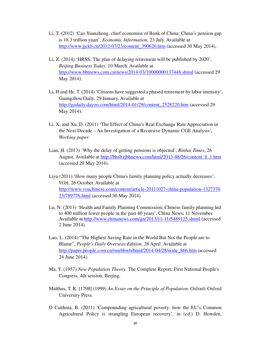- Li, T. (2012) 'Cao Yuanzheng, chief economist of Bank of China: China's pension gap is 18.3 trillion yuan', *Economic Information*, 23 July. Available at http://www.jjckb.cn/2012-07/23/content\_390626.htm (accessed 30 May 2014).
- Li, Z. (2014) 'HRSS: The plan of delaying retirement will be published by 2020', *Beijing Business Today*, 10 March. Available at http://www.bbtnews.com.cn/news/2014-03/10000000137448.shtml (accessed 29 May 2014).
- Li, H and He, T. (2014) 'Citizens have suggested a phased retirement by labor intensity', Guangzhou Daily, 29 January. Available at http://gzdaily.dayoo.com/html/2014-01/29/content\_2528220.htm (accessed 29 May 2014).
- Li, X, and Xu, D. (2011) 'The Effect of China's Real Exchange Rate Appreciation in the Next Decade – An Investigation of a Recursive Dynamic CGE Analysis', *Working paper*.
- Lian, H. (2013) 'Why the delay of getting pensions is objected', *Binhai Times*, 26 August. Available at http://bhsb.tjbhnews.com/html/2013-08/26/content\_8\_1.htm (accessed 29 May 2014).
- Liya (2011) 'How many people China's family planning policy actually decreases', *VOA*, 26 October. Available at http://www.voachinese.com/content/article-20111027-china-population-1327370 23/789776.html (accessed 30 May 2014).
- Lu, N. (2013) 'Health and Family Planning Commission: Chinese family planning led to 400 million fewer people in the past 40 years', China News, 11 November. Available at http://www.chinanews.com/gn/2013/11-11/5489125.shtml (accessed 2 June 2014).
- Luo, L. (2014) "The Highest Saving Rate in the World But Not the People are to Blame", *People's Daily Overseas Edition*, 28 April. Available at http://paper.people.com.cn/rmrbhwb/html/2014-04/28/node\_866.htm (accessed 24 June 2014).
- Ma, Y. (1957) *New Population Theory*. The Complete Report, First National People's Congress, 4th session, Beijing.
- Malthus, T. R. [1798] (1999) *An Essay on the Principle of Population*. Oxford: Oxford University Press.
- Ó Caithnia, B. (2011) 'Compounding agricultural poverty: how the EU's Common Agricultural Policy is strangling European recovery', in (*ed*.) D. Howden,